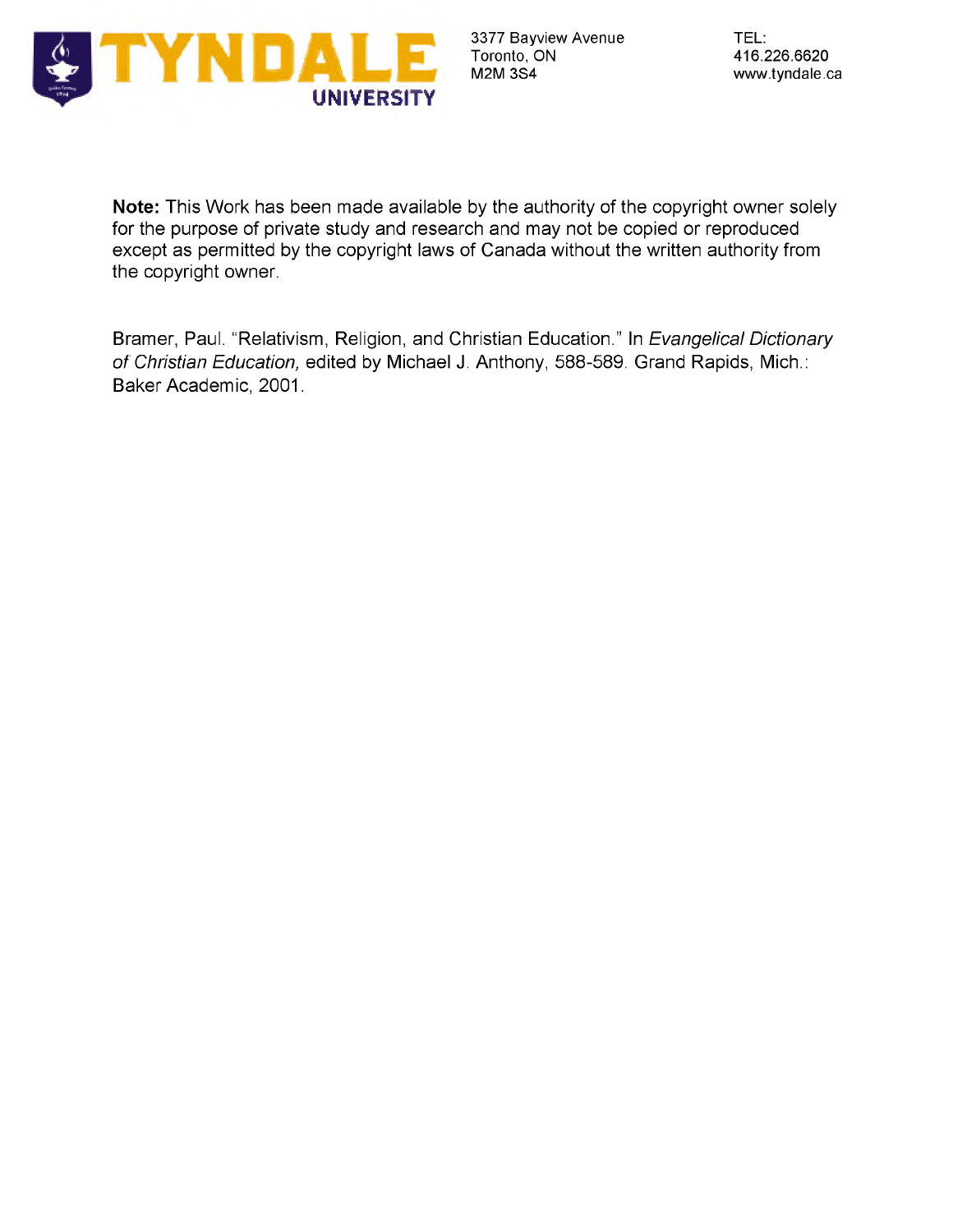

**Note:** This Work has been made available by the authority of the copyright owner solely for the purpose of private study and research and may not be copied or reproduced except as permitted by the copyright laws of Canada without the written authority from the copyright owner.

Bramer, Paul. "Relativism, Religion, and Christian Education." In *Evangelical Dictionary of Christian Education,* edited by Michael J. Anthony, 588-589. Grand Rapids, Mich.: Baker Academic, 2001.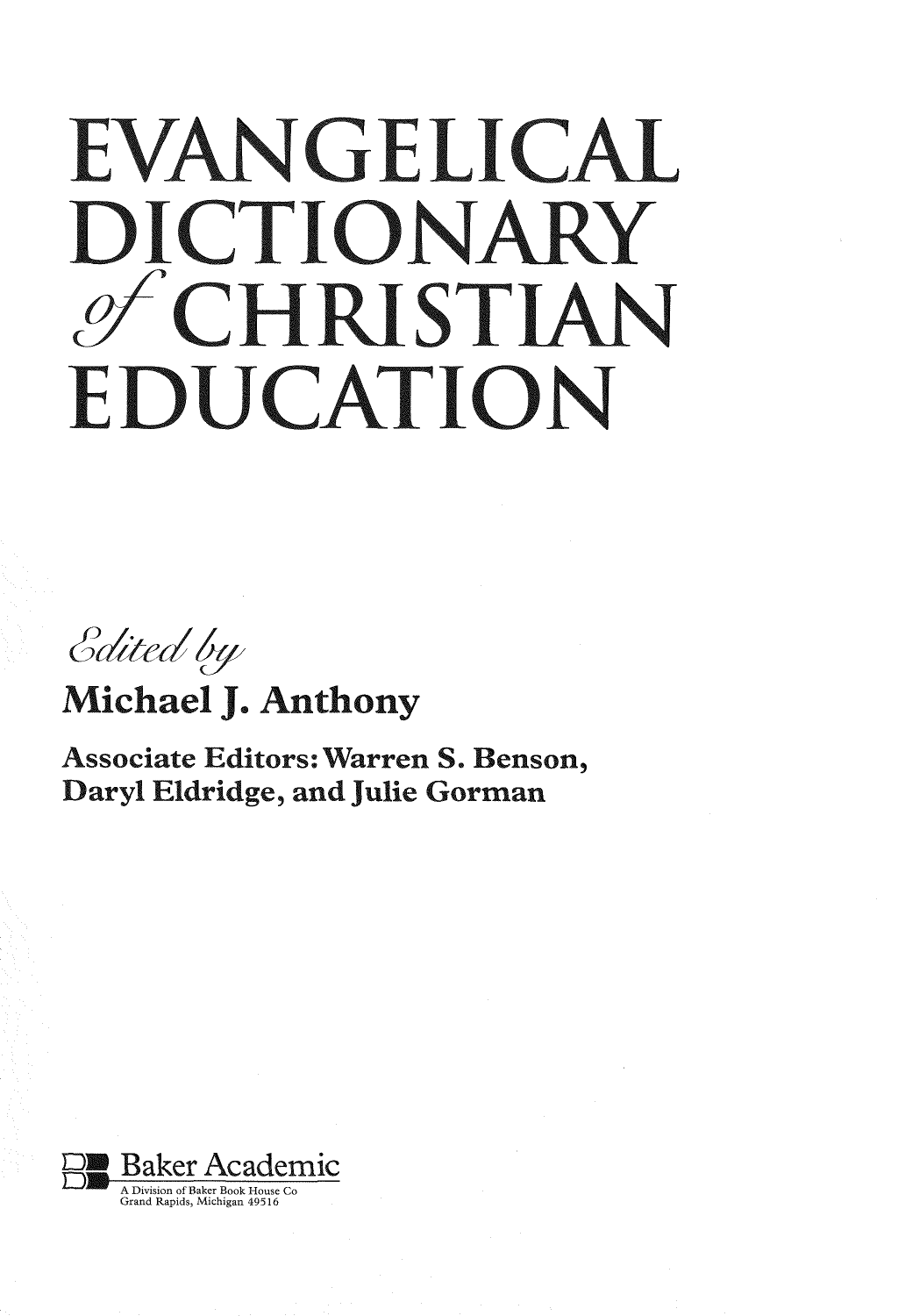## EVANGELICAL DICTIONARY of CHRISTIAN EDUCATION

Edited by

Michael J. Anthony

Associate Editors;Warren S. Benson, Daryl Eldridge, and Julie Gorman

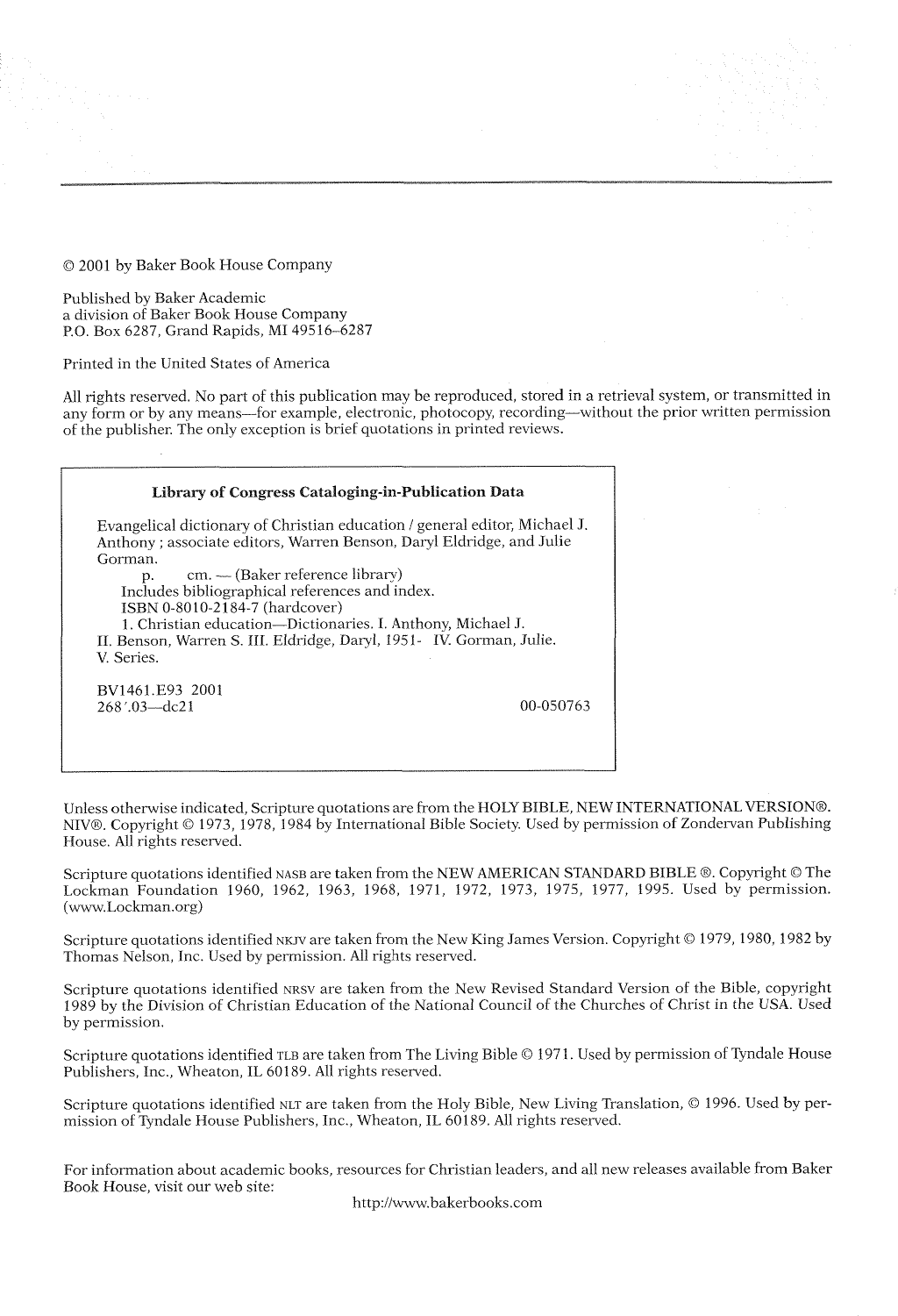© 2001 by Baker Book House Company

Published by Baker Academic a division of Baker Book House Company P.O. Box 6287, Grand Rapids, MI 49516-6287

Printed in the United States of America

All rights reserved. No part of this publication may be reproduced, stored in a retrieval system, or transmitted in any form or by any means—for example, electronic, photocopy, recording—without the prior written permission of the publisher. The only exception is brief quotations in printed reviews.

## Library of Congress Cataloging-in-Publication Data

Evangelical dictionary of Christian education / general editor, Michael J Anthony ; associate editors, Warren Benson, Daryl Eldridge, and Julie Gorman. p. cm. — (Baker reference library) Includes bibliographical references and index. ISBN 0-8010-2184-7 (hardcover)

1. Christian education—Dictionaries. I. Anthony, Michael J. II. Benson, Warren S. III. Eldridge, Daryl, 1951- IV. Gorman, Julie. V. Series.

BV1461.E93 2001 268.03—dc21 00-050763

Unless otherwise indicated, Scripture quotations are from the HOLY BIBLE, NEW INTERNATIONAL VERSION®. NIV®. Copyright © 1973, 1978, 1984 by International Bible Society. Used by permission of Zondervan Publishing House. All rights reserved.

Scripture quotations identified nase are taken from the NEW AMERICAN STANDARD BIBLE ®. Copyright © The Lockman Foundation 1960, 1962, 1963, 1968, 1971, 1972, 1973, 1975, 1977, 1995. Used by permission. ([www.Lockman.org](http://www.Lockman.org))

Scripture quotations identified NKJV are taken from the New King James Version. Copyright © 1979, 1980, 1982 by Thomas Nelson, Inc. Used by permission. All rights reserved.

Scripture quotations identified nrsv are taken from the New Revised Standard Version of the Bible, copyright 1989 by the Division of Christian Education of the National Council of the Churches of Christ in the USA. Used by permission.

Scripture quotations identified TLB are taken from The Living Bible © 1971. Used by permission of Tyndale House Publishers, Inc., Wheaton, IL 60189. All rights reserved.

Scripture quotations identified NLT are taken from the Holy Bible, New Living Translation, © 1996. Used by permission of Tyndale House Publishers, Inc., Wheaton, IL 60189. All rights reserved.

For information about academic books, resources for Christian leaders, and all new releases available from Baker Book House, visit our web site:

<http://www.bakerbooks.com>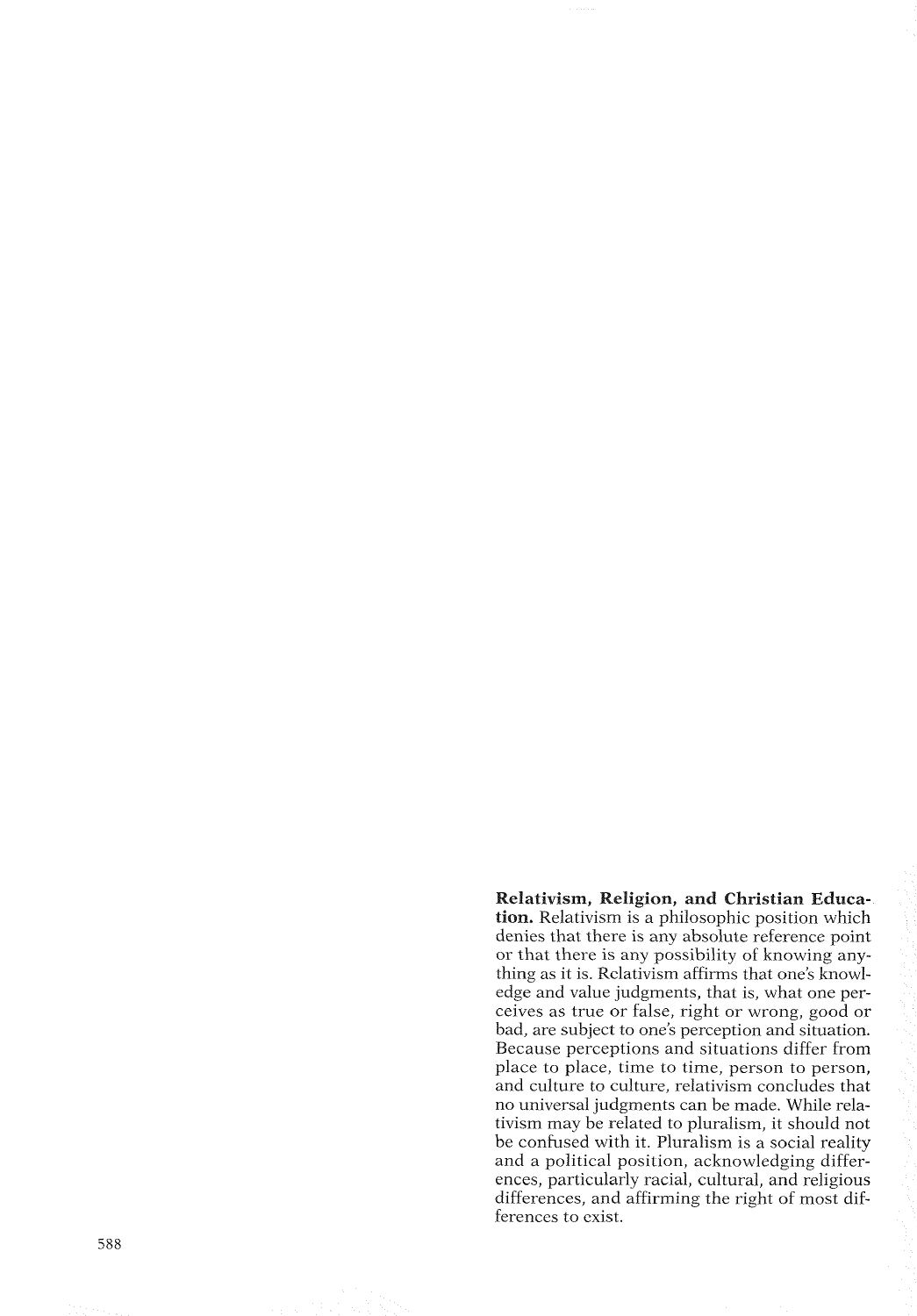Relativism, Religion, and Christian Educa tion. Relativism is a philosophic position which denies that there is any absolute reference point or that there is any possibility of knowing any thing as it is. Relativism affirms that one's knowledge and value judgments, that is, what one per ceives as true or false, right or wrong, good or bad, are subject to one's perception and situation. Because perceptions and situations differ from place to place, time to time, person to person, and culture to culture, relativism concludes that no universal judgments can be made. While rela tivism may be related to pluralism, it should not be confused with it. Pluralism is a social reality and a political position, acknowledging differ ences, particularly racial, cultural, and religious differences, and affirming the right of most differences to exist.